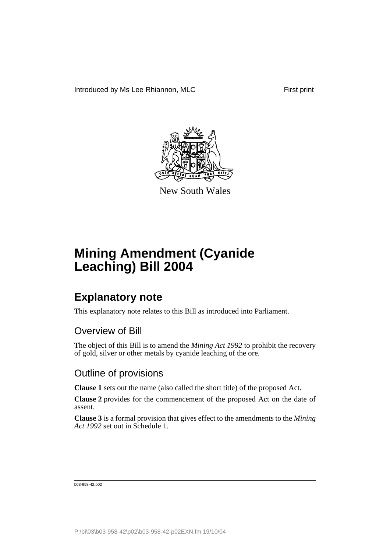Introduced by Ms Lee Rhiannon, MLC First print



New South Wales

# **Mining Amendment (Cyanide Leaching) Bill 2004**

## **Explanatory note**

This explanatory note relates to this Bill as introduced into Parliament.

### Overview of Bill

The object of this Bill is to amend the *Mining Act 1992* to prohibit the recovery of gold, silver or other metals by cyanide leaching of the ore.

### Outline of provisions

**Clause 1** sets out the name (also called the short title) of the proposed Act.

**Clause 2** provides for the commencement of the proposed Act on the date of assent.

**Clause 3** is a formal provision that gives effect to the amendments to the *Mining Act 1992* set out in Schedule 1.

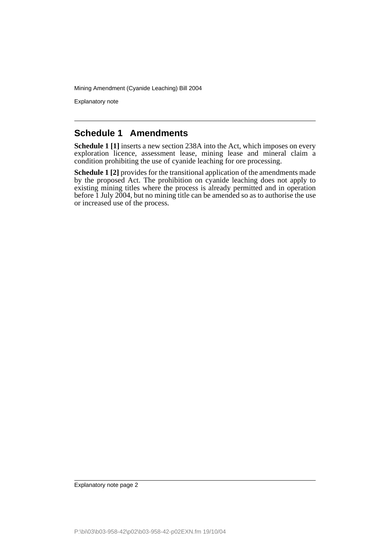Explanatory note

#### **Schedule 1 Amendments**

**Schedule 1 [1]** inserts a new section 238A into the Act, which imposes on every exploration licence, assessment lease, mining lease and mineral claim a condition prohibiting the use of cyanide leaching for ore processing.

**Schedule 1 [2]** provides for the transitional application of the amendments made by the proposed Act. The prohibition on cyanide leaching does not apply to existing mining titles where the process is already permitted and in operation before 1 July 2004, but no mining title can be amended so as to authorise the use or increased use of the process.

Explanatory note page 2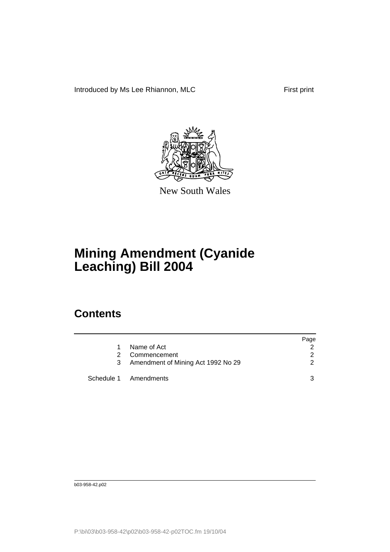Introduced by Ms Lee Rhiannon, MLC First print



New South Wales

## **Mining Amendment (Cyanide Leaching) Bill 2004**

### **Contents**

|    |                                      | Page          |
|----|--------------------------------------|---------------|
| 1  | Name of Act                          |               |
| 2. | Commencement                         | $\mathcal{P}$ |
|    | 3 Amendment of Mining Act 1992 No 29 | 2             |
|    | Schedule 1 Amendments                | 3             |

b03-958-42.p02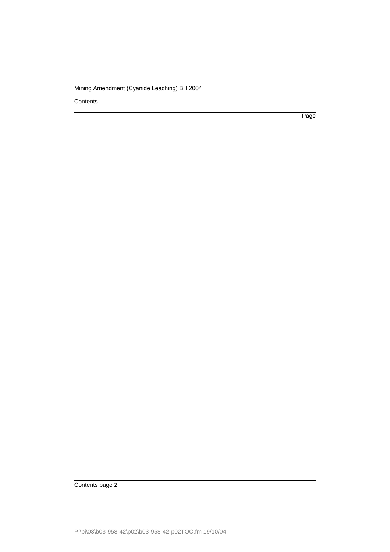**Contents** 

Page

Contents page 2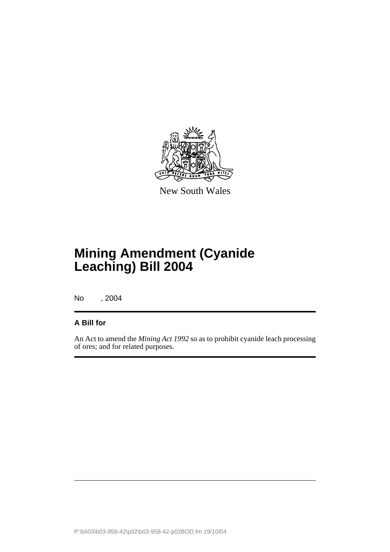

New South Wales

# **Mining Amendment (Cyanide Leaching) Bill 2004**

No , 2004

#### **A Bill for**

An Act to amend the *Mining Act 1992* so as to prohibit cyanide leach processing of ores; and for related purposes.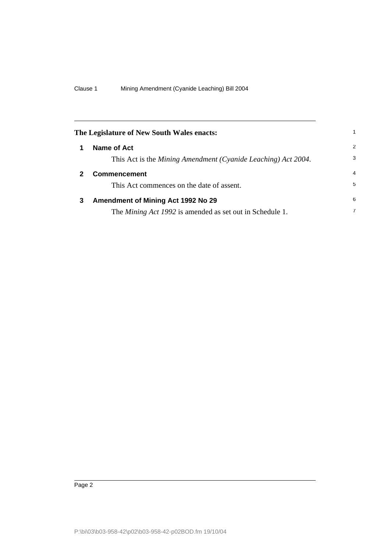| The Legislature of New South Wales enacts: |                                                                 |               |
|--------------------------------------------|-----------------------------------------------------------------|---------------|
| 1                                          | Name of Act                                                     | $\mathcal{P}$ |
|                                            | This Act is the Mining Amendment (Cyanide Leaching) Act 2004.   | 3             |
|                                            | <b>Commencement</b>                                             | 4             |
|                                            | This Act commences on the date of assent.                       | 5             |
| 3                                          | Amendment of Mining Act 1992 No 29                              | 6             |
|                                            | The <i>Mining Act 1992</i> is amended as set out in Schedule 1. | 7             |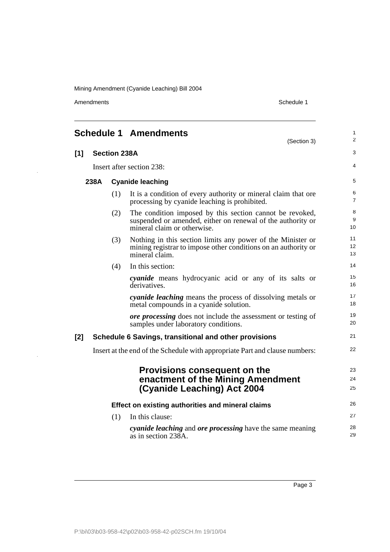Amendments Schedule 1

l,

|       |                                                                             |                     | <b>Schedule 1 Amendments</b>                                                                                                                           | $\mathbf{1}$        |  |
|-------|-----------------------------------------------------------------------------|---------------------|--------------------------------------------------------------------------------------------------------------------------------------------------------|---------------------|--|
|       |                                                                             |                     | (Section 3)                                                                                                                                            | 2                   |  |
| $[1]$ |                                                                             | <b>Section 238A</b> |                                                                                                                                                        | 3                   |  |
|       | Insert after section 238:                                                   |                     |                                                                                                                                                        |                     |  |
| 238A  |                                                                             |                     | <b>Cyanide leaching</b>                                                                                                                                | 5                   |  |
|       |                                                                             | (1)                 | It is a condition of every authority or mineral claim that ore<br>processing by cyanide leaching is prohibited.                                        | 6<br>$\overline{7}$ |  |
|       |                                                                             | (2)                 | The condition imposed by this section cannot be revoked,<br>suspended or amended, either on renewal of the authority or<br>mineral claim or otherwise. | 8<br>9<br>10        |  |
|       |                                                                             | (3)                 | Nothing in this section limits any power of the Minister or<br>mining registrar to impose other conditions on an authority or<br>mineral claim.        | 11<br>12<br>13      |  |
|       |                                                                             | (4)                 | In this section:                                                                                                                                       | 14                  |  |
|       |                                                                             |                     | cyanide means hydrocyanic acid or any of its salts or<br>derivatives.                                                                                  | 15<br>16            |  |
|       |                                                                             |                     | <i>cyanide leaching</i> means the process of dissolving metals or<br>metal compounds in a cyanide solution.                                            | 17<br>18            |  |
|       |                                                                             |                     | <b><i>ore processing</i></b> does not include the assessment or testing of<br>samples under laboratory conditions.                                     | 19<br>20            |  |
| $[2]$ |                                                                             |                     | Schedule 6 Savings, transitional and other provisions                                                                                                  | 21                  |  |
|       | Insert at the end of the Schedule with appropriate Part and clause numbers: |                     |                                                                                                                                                        |                     |  |
|       |                                                                             |                     | <b>Provisions consequent on the</b>                                                                                                                    | 23                  |  |
|       |                                                                             |                     | enactment of the Mining Amendment<br>(Cyanide Leaching) Act 2004                                                                                       | 24<br>25            |  |
|       |                                                                             |                     | Effect on existing authorities and mineral claims                                                                                                      | 26                  |  |
|       |                                                                             | (1)                 | In this clause:                                                                                                                                        | 27                  |  |
|       |                                                                             |                     | cyanide leaching and ore processing have the same meaning<br>as in section 238A.                                                                       | 28<br>29            |  |

Page 3